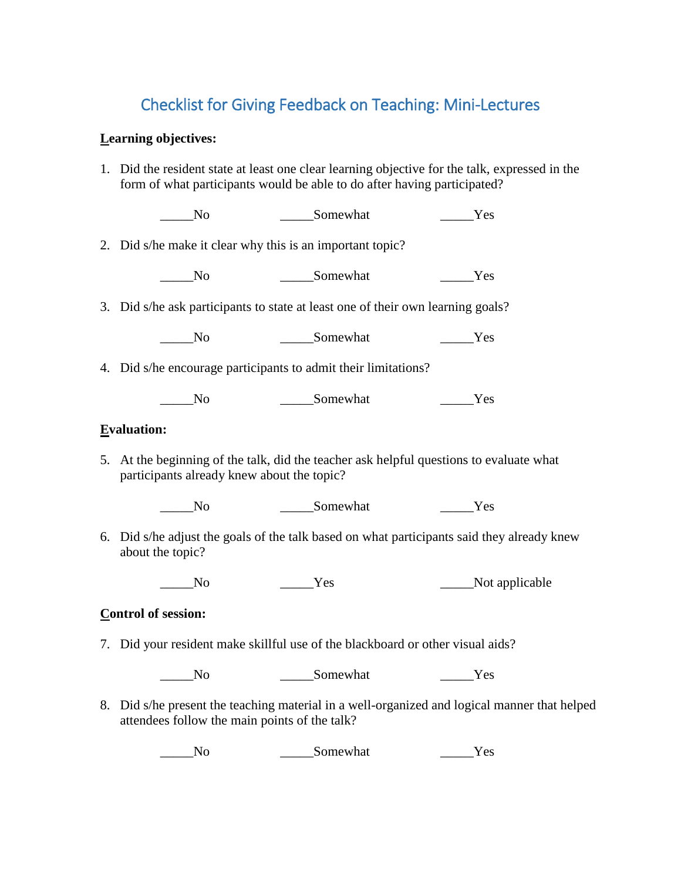## Checklist for Giving Feedback on Teaching: Mini-Lectures

#### **Learning objectives:**

1. Did the resident state at least one clear learning objective for the talk, expressed in the form of what participants would be able to do after having participated?

\_\_\_\_\_No \_\_\_\_\_Somewhat \_\_\_\_\_Yes

2. Did s/he make it clear why this is an important topic?

\_\_\_\_\_No \_\_\_\_\_Somewhat \_\_\_\_\_Yes

3. Did s/he ask participants to state at least one of their own learning goals?

No Somewhat Yes

4. Did s/he encourage participants to admit their limitations?

\_\_\_\_\_No \_\_\_\_\_Somewhat \_\_\_\_\_Yes

#### **Evaluation:**

5. At the beginning of the talk, did the teacher ask helpful questions to evaluate what participants already knew about the topic?

\_\_\_\_\_No \_\_\_\_\_Somewhat \_\_\_\_\_Yes

6. Did s/he adjust the goals of the talk based on what participants said they already knew about the topic?

\_\_\_\_\_No \_\_\_\_\_Yes \_\_\_\_\_Not applicable

#### **Control of session:**

7. Did your resident make skillful use of the blackboard or other visual aids?

No Somewhat Yes

8. Did s/he present the teaching material in a well-organized and logical manner that helped attendees follow the main points of the talk?

\_\_\_\_\_No \_\_\_\_\_Somewhat \_\_\_\_\_Yes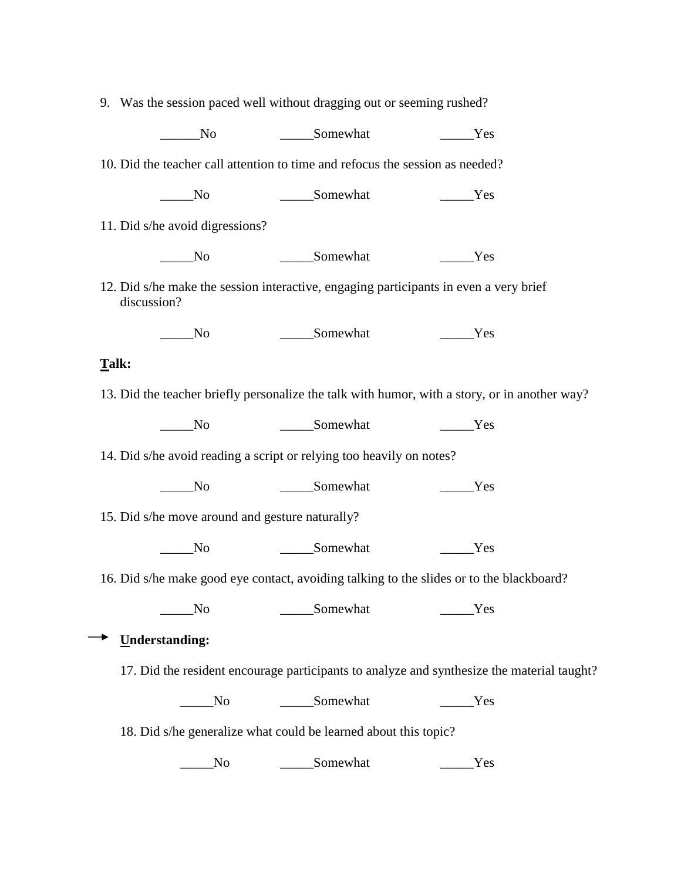| 9. Was the session paced well without dragging out or seeming rushed?                                |                |                                                                                               |  |  |  |  |  |  |  |
|------------------------------------------------------------------------------------------------------|----------------|-----------------------------------------------------------------------------------------------|--|--|--|--|--|--|--|
| N <sub>0</sub>                                                                                       | Somewhat       | Yes                                                                                           |  |  |  |  |  |  |  |
| 10. Did the teacher call attention to time and refocus the session as needed?                        |                |                                                                                               |  |  |  |  |  |  |  |
| $\sqrt{N}$                                                                                           | ______Somewhat | $\rule{1em}{0.15mm}$ Yes                                                                      |  |  |  |  |  |  |  |
| 11. Did s/he avoid digressions?                                                                      |                |                                                                                               |  |  |  |  |  |  |  |
| No                                                                                                   | Somewhat       | Yes                                                                                           |  |  |  |  |  |  |  |
| 12. Did s/he make the session interactive, engaging participants in even a very brief<br>discussion? |                |                                                                                               |  |  |  |  |  |  |  |
| No                                                                                                   | Somewhat       | Yes                                                                                           |  |  |  |  |  |  |  |
| Talk:                                                                                                |                |                                                                                               |  |  |  |  |  |  |  |
|                                                                                                      |                | 13. Did the teacher briefly personalize the talk with humor, with a story, or in another way? |  |  |  |  |  |  |  |
| No                                                                                                   | Somewhat       | Yes                                                                                           |  |  |  |  |  |  |  |
| 14. Did s/he avoid reading a script or relying too heavily on notes?                                 |                |                                                                                               |  |  |  |  |  |  |  |
| $\mathbf{N}\mathbf{o}$                                                                               | ______Somewhat | _Yes                                                                                          |  |  |  |  |  |  |  |
| 15. Did s/he move around and gesture naturally?                                                      |                |                                                                                               |  |  |  |  |  |  |  |
| N <sub>0</sub>                                                                                       | ______Somewhat | Yes                                                                                           |  |  |  |  |  |  |  |
| 16. Did s/he make good eye contact, avoiding talking to the slides or to the blackboard?             |                |                                                                                               |  |  |  |  |  |  |  |
| N <sub>o</sub>                                                                                       | Somewhat       | Yes                                                                                           |  |  |  |  |  |  |  |
| <b>Understanding:</b>                                                                                |                |                                                                                               |  |  |  |  |  |  |  |
|                                                                                                      |                | 17. Did the resident encourage participants to analyze and synthesize the material taught?    |  |  |  |  |  |  |  |
| No                                                                                                   | Somewhat       | Yes                                                                                           |  |  |  |  |  |  |  |
| 18. Did s/he generalize what could be learned about this topic?                                      |                |                                                                                               |  |  |  |  |  |  |  |
| No                                                                                                   | Somewhat       | Yes                                                                                           |  |  |  |  |  |  |  |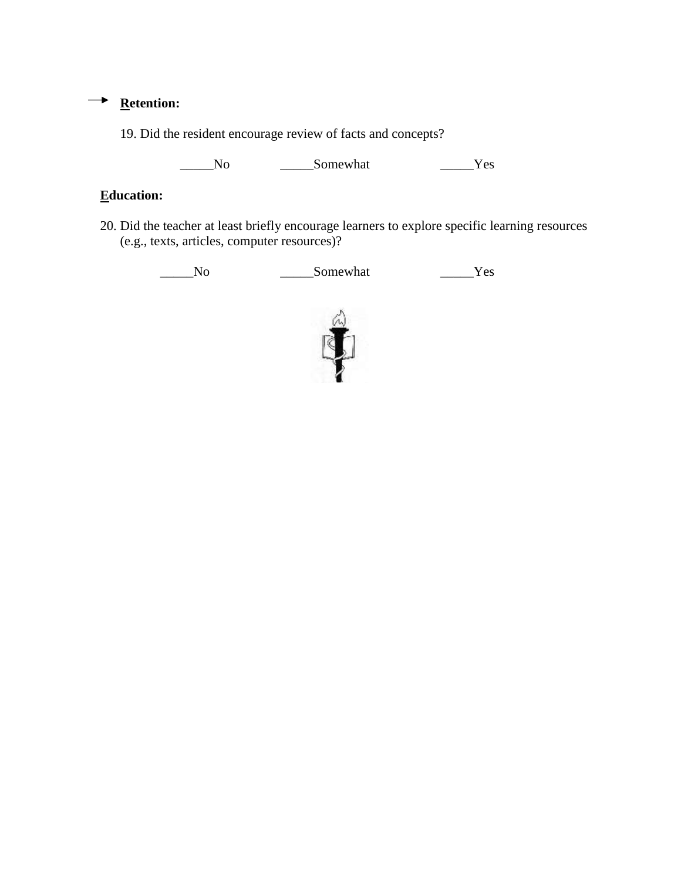### → <u>Retention:</u>

19. Did the resident encourage review of facts and concepts?

\_\_\_\_\_No \_\_\_\_\_Somewhat \_\_\_\_\_Yes

### **Education:**

20. Did the teacher at least briefly encourage learners to explore specific learning resources (e.g., texts, articles, computer resources)?